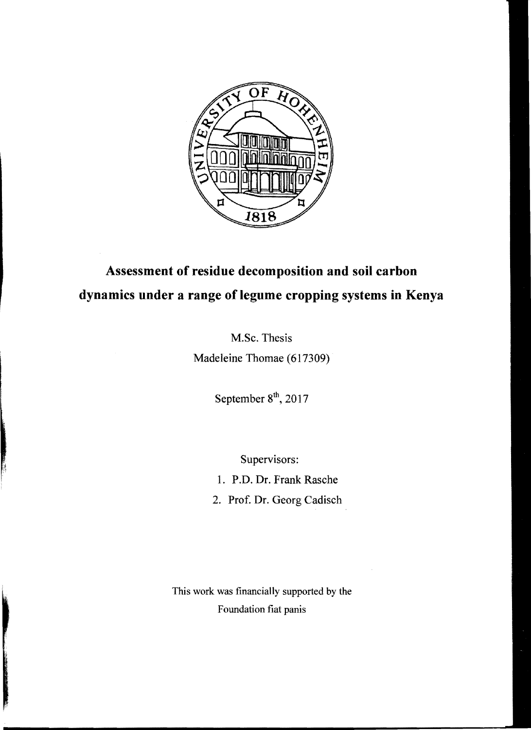

## **Assessment of residue decomposition and soil carbon dynamics under a range of legume cropping systems in Kenya**

M.Sc. Thesis Madeleine Thomae (617309)

September  $8<sup>th</sup>$ , 2017

Supervisors:

1. P.D. Dr. Frank Rasche

2. Prof. Dr. Georg Cadisch

This work was financially supported by the Foundation fiat panis